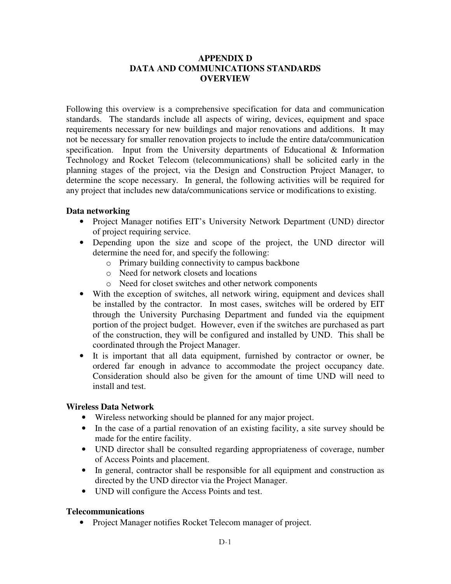# **APPENDIX D DATA AND COMMUNICATIONS STANDARDS OVERVIEW**

Following this overview is a comprehensive specification for data and communication standards. The standards include all aspects of wiring, devices, equipment and space requirements necessary for new buildings and major renovations and additions. It may not be necessary for smaller renovation projects to include the entire data/communication specification. Input from the University departments of Educational & Information Technology and Rocket Telecom (telecommunications) shall be solicited early in the planning stages of the project, via the Design and Construction Project Manager, to determine the scope necessary. In general, the following activities will be required for any project that includes new data/communications service or modifications to existing.

### **Data networking**

- Project Manager notifies EIT's University Network Department (UND) director of project requiring service.
- Depending upon the size and scope of the project, the UND director will determine the need for, and specify the following:
	- o Primary building connectivity to campus backbone
	- o Need for network closets and locations
	- o Need for closet switches and other network components
- With the exception of switches, all network wiring, equipment and devices shall be installed by the contractor. In most cases, switches will be ordered by EIT through the University Purchasing Department and funded via the equipment portion of the project budget. However, even if the switches are purchased as part of the construction, they will be configured and installed by UND. This shall be coordinated through the Project Manager.
- It is important that all data equipment, furnished by contractor or owner, be ordered far enough in advance to accommodate the project occupancy date. Consideration should also be given for the amount of time UND will need to install and test.

#### **Wireless Data Network**

- Wireless networking should be planned for any major project.
- In the case of a partial renovation of an existing facility, a site survey should be made for the entire facility.
- UND director shall be consulted regarding appropriateness of coverage, number of Access Points and placement.
- In general, contractor shall be responsible for all equipment and construction as directed by the UND director via the Project Manager.
- UND will configure the Access Points and test.

#### **Telecommunications**

• Project Manager notifies Rocket Telecom manager of project.